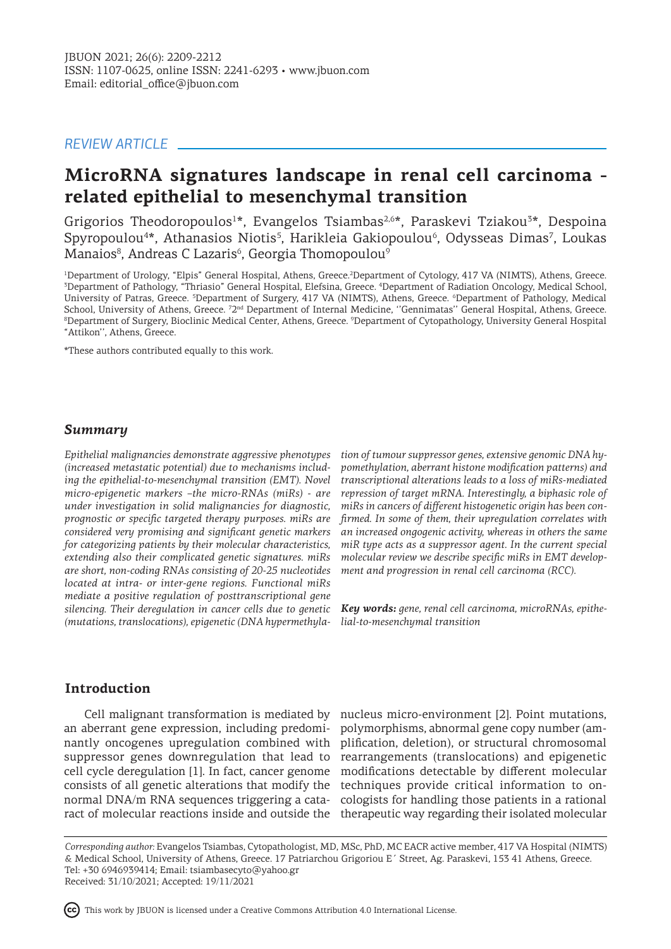#### *REVIEW ARTICLE*

# **MicroRNA signatures landscape in renal cell carcinoma related epithelial to mesenchymal transition**

Grigorios Theodoropoulos<sup>1\*</sup>, Evangelos Tsiambas<sup>2,6\*</sup>, Paraskevi Tziakou<sup>3\*</sup>, Despoina Spyropoulou<sup>4\*</sup>, Athanasios Niotis<sup>5</sup>, Harikleia Gakiopoulou<sup>6</sup>, Odysseas Dimas<sup>7</sup>, Loukas Manaios $^{\rm 8}$ , Andreas C Lazaris $^{\rm 6}$ , Georgia Thomopoulou $^{\rm 9}$ 

<sup>1</sup>Department of Urology, "Elpis" General Hospital, Athens, Greece.<sup>2</sup>Department of Cytology, 417 VA (NIMTS), Athens, Greece. 3 Department of Pathology, "Thriasio" General Hospital, Elefsina, Greece. <sup>4</sup> Department of Radiation Oncology, Medical School, University of Patras, Greece. <sup>5</sup>Department of Surgery, 417 VA (NIMTS), Athens, Greece. <sup>6</sup>Department of Pathology, Medical School, University of Athens, Greece. <sup>72nd</sup> Department of Internal Medicine, "Gennimatas" General Hospital, Athens, Greece. 8 Department of Surgery, Bioclinic Medical Center, Athens, Greece. <sup>9</sup> Department of Cytopathology, University General Hospital "Attikon'', Athens, Greece.

\*These authors contributed equally to this work.

#### *Summary*

*Epithelial malignancies demonstrate aggressive phenotypes (increased metastatic potential) due to mechanisms including the epithelial-to-mesenchymal transition (EMT). Novel micro-epigenetic markers –the micro-RNAs (miRs) - are under investigation in solid malignancies for diagnostic, prognostic or specific targeted therapy purposes. miRs are considered very promising and significant genetic markers for categorizing patients by their molecular characteristics, extending also their complicated genetic signatures. miRs are short, non-coding RNAs consisting of 20-25 nucleotides located at intra- or inter-gene regions. Functional miRs mediate a positive regulation of posttranscriptional gene silencing. Their deregulation in cancer cells due to genetic (mutations, translocations), epigenetic (DNA hypermethyla-*

*tion of tumour suppressor genes, extensive genomic DNA hypomethylation, aberrant histone modification patterns) and transcriptional alterations leads to a loss of miRs-mediated repression of target mRNA. Interestingly, a biphasic role of miRs in cancers of different histogenetic origin has been confirmed. In some of them, their upregulation correlates with an increased ongogenic activity, whereas in others the same miR type acts as a suppressor agent. In the current special molecular review we describe specific miRs in EMT development and progression in renal cell carcinoma (RCC).*

*Key words: gene, renal cell carcinoma, microRNAs, epithelial-to-mesenchymal transition*

#### **Introduction**

an aberrant gene expression, including predomicell cycle deregulation [1]. In fact, cancer genome consists of all genetic alterations that modify the techniques provide critical information to onnormal DNA/m RNA sequences triggering a cata-

Cell malignant transformation is mediated by nucleus micro-environment [2]. Point mutations, nantly oncogenes upregulation combined with plification, deletion), or structural chromosomal suppressor genes downregulation that lead to rearrangements (translocations) and epigenetic ract of molecular reactions inside and outside the therapeutic way regarding their isolated molecular polymorphisms, abnormal gene copy number (ammodifications detectable by different molecular cologists for handling those patients in a rational

*Corresponding author:* Evangelos Tsiambas, Cytopathologist, MD, MSc, PhD, MC EACR active member, 417 VA Hospital (NIMTS) & Medical School, University of Athens, Greece. 17 Patriarchou Grigoriou E΄ Street, Ag. Paraskevi, 153 41 Athens, Greece. Tel: +30 6946939414; Email: tsiambasecyto@yahoo.gr Received: 31/10/2021; Accepted: 19/11/2021

This work by JBUON is licensed under a Creative Commons Attribution 4.0 International License.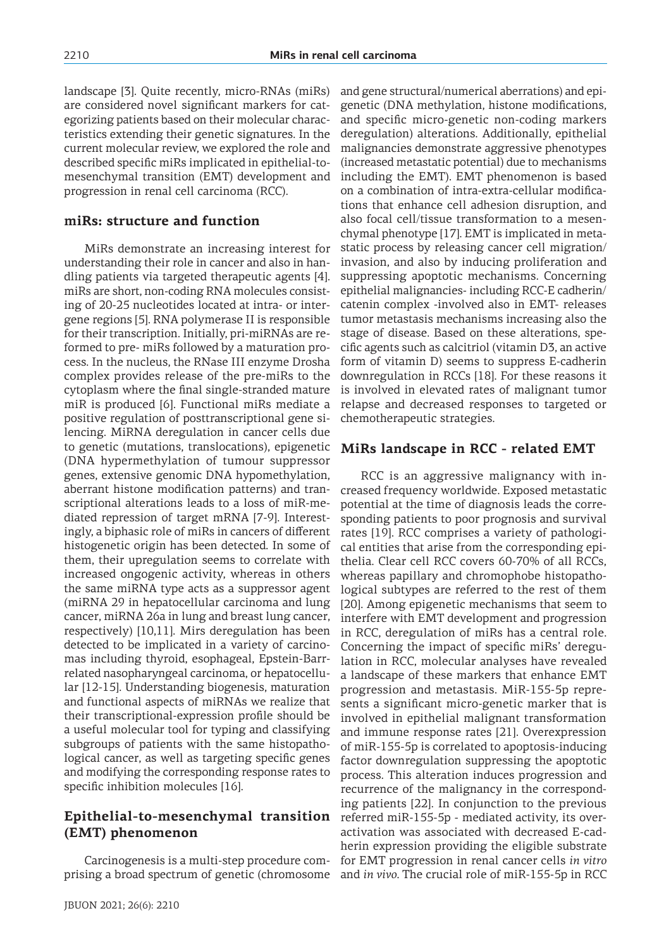landscape [3]. Quite recently, micro-RNAs (miRs) are considered novel significant markers for categorizing patients based on their molecular characteristics extending their genetic signatures. In the current molecular review, we explored the role and described specific miRs implicated in epithelial-tomesenchymal transition (EMT) development and progression in renal cell carcinoma (RCC).

### **miRs: structure and function**

MiRs demonstrate an increasing interest for understanding their role in cancer and also in handling patients via targeted therapeutic agents [4]. miRs are short, non-coding RNA molecules consisting of 20-25 nucleotides located at intra- or intergene regions [5]. RNA polymerase II is responsible for their transcription. Initially, pri-miRNAs are reformed to pre- miRs followed by a maturation process. In the nucleus, the RNase III enzyme Drosha complex provides release of the pre-miRs to the cytoplasm where the final single-stranded mature miR is produced [6]. Functional miRs mediate a positive regulation of posttranscriptional gene silencing. MiRNA deregulation in cancer cells due to genetic (mutations, translocations), epigenetic (DNA hypermethylation of tumour suppressor genes, extensive genomic DNA hypomethylation, aberrant histone modification patterns) and transcriptional alterations leads to a loss of miR-mediated repression of target mRNA [7-9]. Interestingly, a biphasic role of miRs in cancers of different histogenetic origin has been detected. In some of them, their upregulation seems to correlate with increased ongogenic activity, whereas in others the same miRNA type acts as a suppressor agent (miRNA 29 in hepatocellular carcinoma and lung cancer, miRNA 26a in lung and breast lung cancer, respectively) [10,11]. Mirs deregulation has been detected to be implicated in a variety of carcinomas including thyroid, esophageal, Epstein-Barrrelated nasopharyngeal carcinoma, or hepatocellular [12-15]. Understanding biogenesis, maturation and functional aspects of miRNAs we realize that their transcriptional-expression profile should be a useful molecular tool for typing and classifying subgroups of patients with the same histopathological cancer, as well as targeting specific genes and modifying the corresponding response rates to specific inhibition molecules [16].

# **Epithelial-to-mesenchymal transition**  referred miR-155-5p - mediated activity, its over-**(EMT) phenomenon**

Carcinogenesis is a multi-step procedure comprising a broad spectrum of genetic (chromosome and *in vivo*. The crucial role of miR-155-5p in RCC

JBUON 2021; 26(6): 2210

and gene structural/numerical aberrations) and epigenetic (DNA methylation, histone modifications, and specific micro-genetic non-coding markers deregulation) alterations. Additionally, epithelial malignancies demonstrate aggressive phenotypes (increased metastatic potential) due to mechanisms including the EMT). EMT phenomenon is based on a combination of intra-extra-cellular modifications that enhance cell adhesion disruption, and also focal cell/tissue transformation to a mesenchymal phenotype [17]. EMT is implicated in metastatic process by releasing cancer cell migration/ invasion, and also by inducing proliferation and suppressing apoptotic mechanisms. Concerning epithelial malignancies- including RCC-E cadherin/ catenin complex -involved also in EMT- releases tumor metastasis mechanisms increasing also the stage of disease. Based on these alterations, specific agents such as calcitriol (vitamin D3, an active form of vitamin D) seems to suppress E-cadherin downregulation in RCCs [18]. For these reasons it is involved in elevated rates of malignant tumor relapse and decreased responses to targeted or chemotherapeutic strategies.

## **MiRs landscape in RCC - related EMT**

RCC is an aggressive malignancy with increased frequency worldwide. Exposed metastatic potential at the time of diagnosis leads the corresponding patients to poor prognosis and survival rates [19]. RCC comprises a variety of pathological entities that arise from the corresponding epithelia. Clear cell RCC covers 60-70% of all RCCs, whereas papillary and chromophobe histopathological subtypes are referred to the rest of them [20]. Among epigenetic mechanisms that seem to interfere with EMT development and progression in RCC, deregulation of miRs has a central role. Concerning the impact of specific miRs' deregulation in RCC, molecular analyses have revealed a landscape of these markers that enhance EMT progression and metastasis. MiR-155-5p represents a significant micro-genetic marker that is involved in epithelial malignant transformation and immune response rates [21]. Overexpression of miR-155-5p is correlated to apoptosis-inducing factor downregulation suppressing the apoptotic process. This alteration induces progression and recurrence of the malignancy in the corresponding patients [22]. In conjunction to the previous activation was associated with decreased E-cadherin expression providing the eligible substrate for EMT progression in renal cancer cells *in vitro*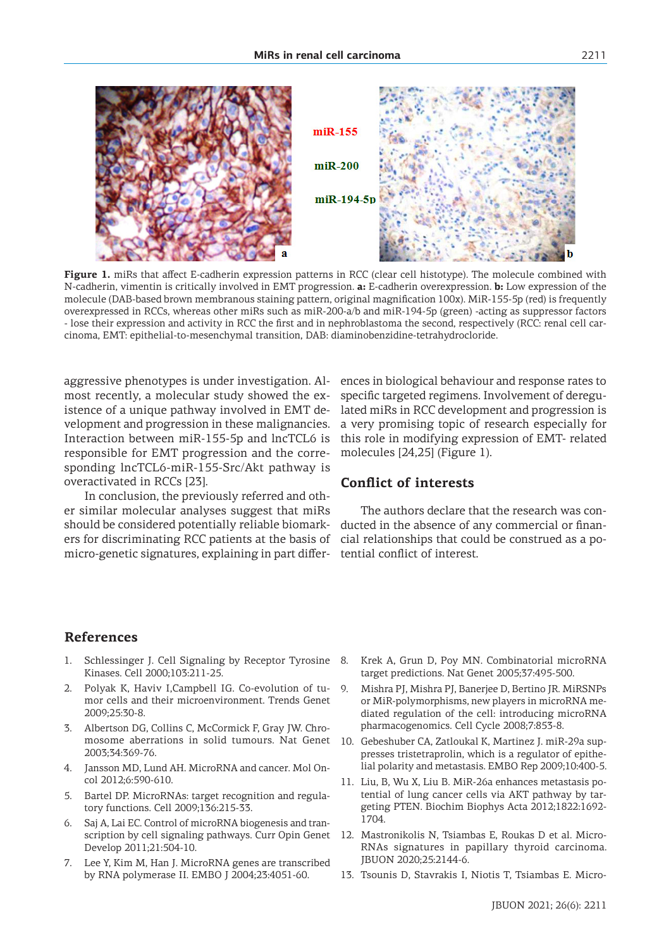

**Figure 1.** miRs that affect E-cadherin expression patterns in RCC (clear cell histotype). The molecule combined with N-cadherin, vimentin is critically involved in EMT progression. **a:** E-cadherin overexpression. **b:** Low expression of the molecule (DAB-based brown membranous staining pattern, original magnification 100x). MiR-155-5p (red) is frequently overexpressed in RCCs, whereas other miRs such as miR-200-a/b and miR-194-5p (green) -acting as suppressor factors - lose their expression and activity in RCC the first and in nephroblastoma the second, respectively (RCC: renal cell carcinoma, EMT: epithelial-to-mesenchymal transition, DAB: diaminobenzidine-tetrahydrocloride.

aggressive phenotypes is under investigation. Almost recently, a molecular study showed the existence of a unique pathway involved in EMT development and progression in these malignancies. Interaction between miR-155-5p and lncTCL6 is responsible for EMT progression and the corresponding lncTCL6-miR-155-Src/Akt pathway is overactivated in RCCs [23].

In conclusion, the previously referred and other similar molecular analyses suggest that miRs should be considered potentially reliable biomarkers for discriminating RCC patients at the basis of micro-genetic signatures, explaining in part differences in biological behaviour and response rates to specific targeted regimens. Involvement of deregulated miRs in RCC development and progression is a very promising topic of research especially for this role in modifying expression of EMT- related molecules [24,25] (Figure 1).

#### **Conflict of interests**

The authors declare that the research was conducted in the absence of any commercial or financial relationships that could be construed as a potential conflict of interest.

#### **References**

- Schlessinger J. Cell Signaling by Receptor Tyrosine Kinases. Cell 2000;103:211-25.
- 2. Polyak K, Haviv I,Campbell IG. Co-evolution of tumor cells and their microenvironment. Trends Genet 2009;25:30-8.
- 3. Albertson DG, Collins C, McCormick F, Gray JW. Chromosome aberrations in solid tumours. Nat Genet 2003;34:369-76.
- 4. Jansson MD, Lund AH. MicroRNA and cancer. Mol Oncol 2012;6:590-610.
- 5. Bartel DP. MicroRNAs: target recognition and regulatory functions. Cell 2009;136:215-33.
- 6. Saj A, Lai EC. Control of microRNA biogenesis and transcription by cell signaling pathways. Curr Opin Genet Develop 2011;21:504-10.
- 7. Lee Y, Kim M, Han J. MicroRNA genes are transcribed by RNA polymerase II. EMBO J 2004;23:4051-60.
- Krek A, Grun D, Poy MN. Combinatorial microRNA target predictions. Nat Genet 2005;37:495-500.
- 9. Mishra PJ, Mishra PJ, Banerjee D, Bertino JR. MiRSNPs or MiR-polymorphisms, new players in microRNA mediated regulation of the cell: introducing microRNA pharmacogenomics. Cell Cycle 2008;7:853-8.
- 10. Gebeshuber CA, Zatloukal K, Martinez J. miR-29a suppresses tristetraprolin, which is a regulator of epithelial polarity and metastasis. EMBO Rep 2009;10:400-5.
- 11. Liu, B, Wu X, Liu B. MiR-26a enhances metastasis potential of lung cancer cells via AKT pathway by targeting PTEN. Biochim Biophys Acta 2012;1822:1692- 1704.
- 12. Mastronikolis N, Tsiambas E, Roukas D et al. Micro-RNAs signatures in papillary thyroid carcinoma. JBUON 2020;25:2144-6.
- 13. Tsounis D, Stavrakis I, Niotis T, Tsiambas E. Micro-